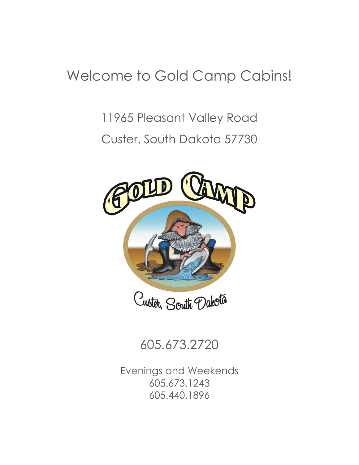## Welcome to Gold Camp Cabins!

# 11965 Pleasant Valley Road Custer, South Dakota 57730



605.673.2720

Evenings and Weekends 605.673.1243 605.440.1896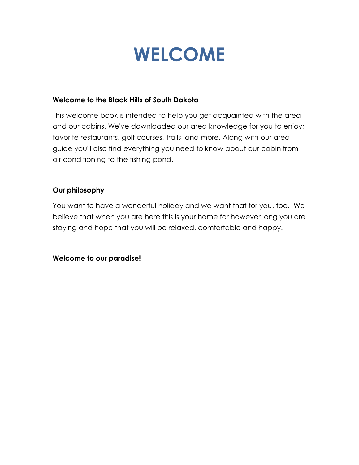# **WELCOME**

### **Welcome to the Black Hills of South Dakota**

This welcome book is intended to help you get acquainted with the area and our cabins. We've downloaded our area knowledge for you to enjoy; favorite restaurants, golf courses, trails, and more. Along with our area guide you'll also find everything you need to know about our cabin from air conditioning to the fishing pond.

### **Our philosophy**

You want to have a wonderful holiday and we want that for you, too. We believe that when you are here this is your home for however long you are staying and hope that you will be relaxed, comfortable and happy.

**Welcome to our paradise!**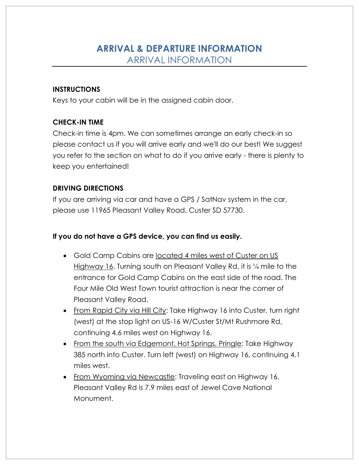### **ARRIVAL & DEPARTURE INFORMATION** ARRIVAL INFORMATION

### **INSTRUCTIONS**

Keys to your cabin will be in the assigned cabin door.

### **CHECK-IN TIME**

Check-in time is 4pm. We can sometimes arrange an early check-in so please contact us if you will arrive early and we'll do our best! We suggest you refer to the section on what to do if you arrive early - there is plenty to keep you entertained!

### **DRIVING DIRECTIONS**

If you are arriving via car and have a GPS / SatNav system in the car, please use 11965 Pleasant Valley Road, Custer SD 57730.

### **If you do not have a GPS device, you can find us easily.**

- Gold Camp Cabins are located 4 miles west of Custer on US Highway 16. Turning south on Pleasant Valley Rd, it is ¼ mile to the entrance for Gold Camp Cabins on the east side of the road. The Four Mile Old West Town tourist attraction is near the corner of Pleasant Valley Road.
- From Rapid City via Hill City: Take Highway 16 into Custer, turn right (west) at the stop light on US-16 W/Custer St/Mt Rushmore Rd, continuing 4.6 miles west on Highway 16.
- From the south via Edgemont, Hot Springs, Pringle: Take Highway 385 north into Custer. Turn left (west) on Highway 16, continuing 4.1 miles west.
- From Wyoming via Newcastle: Traveling east on Highway 16, Pleasant Valley Rd is 7.9 miles east of Jewel Cave National Monument.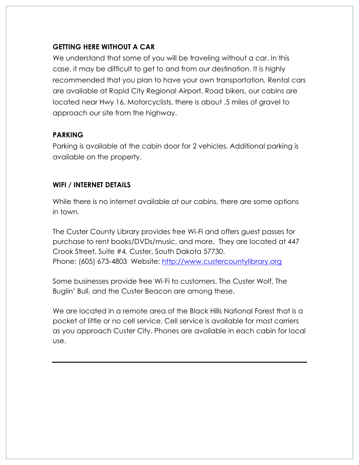### **GETTING HERE WITHOUT A CAR**

We understand that some of you will be traveling without a car. In this case, it may be difficult to get to and from our destination. It is highly recommended that you plan to have your own transportation. Rental cars are available at Rapid City Regional Airport. Road bikers, our cabins are located near Hwy 16. Motorcyclists, there is about .5 miles of gravel to approach our site from the highway.

### **PARKING**

Parking is available at the cabin door for 2 vehicles. Additional parking is available on the property.

### **WIFI / INTERNET DETAILS**

While there is no internet available at our cabins, there are some options in town.

The Custer County Library provides free Wi-Fi and offers guest passes for purchase to rent books/DVDs/music, and more. They are located at 447 Crook Street, Suite #4, Custer, South Dakota 57730. Phone: (605) 673-4803 Website: [http://www.custercountylibrary.org](http://www.custercountylibrary.org/)

Some businesses provide free Wi-Fi to customers. The Custer Wolf, The Buglin' Bull, and the Custer Beacon are among these.

We are located in a remote area of the Black Hills National Forest that is a pocket of little or no cell service. Cell service is available for most carriers as you approach Custer City. Phones are available in each cabin for local use.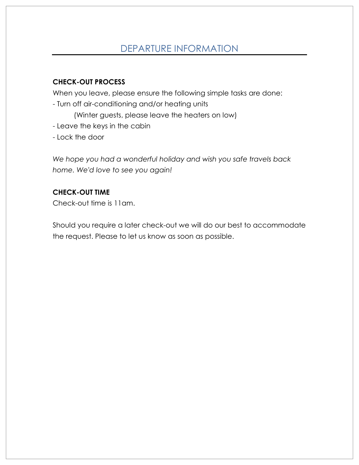### DEPARTURE INFORMATION

### **CHECK-OUT PROCESS**

When you leave, please ensure the following simple tasks are done:

- Turn off air-conditioning and/or heating units

(Winter guests, please leave the heaters on low)

- Leave the keys in the cabin
- Lock the door

*We hope you had a wonderful holiday and wish you safe travels back home. We'd love to see you again!* 

### **CHECK-OUT TIME**

Check-out time is 11am.

Should you require a later check-out we will do our best to accommodate the request. Please to let us know as soon as possible.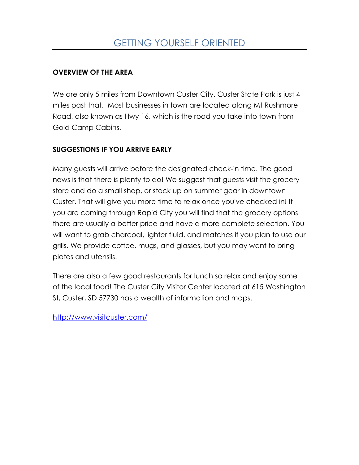### GETTING YOURSELF ORIENTED

### **OVERVIEW OF THE AREA**

We are only 5 miles from Downtown Custer City. Custer State Park is just 4 miles past that. Most businesses in town are located along Mt Rushmore Road, also known as Hwy 16, which is the road you take into town from Gold Camp Cabins.

### **SUGGESTIONS IF YOU ARRIVE EARLY**

Many guests will arrive before the designated check-in time. The good news is that there is plenty to do! We suggest that guests visit the grocery store and do a small shop, or stock up on summer gear in downtown Custer. That will give you more time to relax once you've checked in! If you are coming through Rapid City you will find that the grocery options there are usually a better price and have a more complete selection. You will want to grab charcoal, lighter fluid, and matches if you plan to use our grills. We provide coffee, mugs, and glasses, but you may want to bring plates and utensils.

There are also a few good restaurants for lunch so relax and enjoy some of the local food! The Custer City Visitor Center located at 615 Washington St, Custer, SD 57730 has a wealth of information and maps.

<http://www.visitcuster.com/>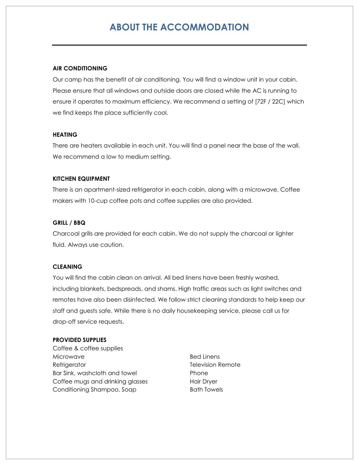### **ABOUT THE ACCOMMODATION**

#### **AIR CONDITIONING**

Our camp has the benefit of air conditioning. You will find a window unit in your cabin. Please ensure that all windows and outside doors are closed while the AC is running to ensure it operates to maximum efficiency. We recommend a setting of [72F / 22C] which we find keeps the place sufficiently cool.

#### **HEATING**

There are heaters available in each unit. You will find a panel near the base of the wall. We recommend a low to medium setting.

#### **KITCHEN EQUIPMENT**

There is an apartment-sized refrigerator in each cabin, along with a microwave. Coffee makers with 10-cup coffee pots and coffee supplies are also provided.

#### **GRILL / BBQ**

Charcoal grills are provided for each cabin. We do not supply the charcoal or lighter fluid. Always use caution.

#### **CLEANING**

You will find the cabin clean on arrival. All bed linens have been freshly washed, including blankets, bedspreads, and shams. High traffic areas such as light switches and remotes have also been disinfected. We follow strict cleaning standards to help keep our staff and guests safe. While there is no daily housekeeping service, please call us for drop-off service requests.

#### **PROVIDED SUPPLIES**

- Coffee & coffee supplies Microwave Refrigerator Bar Sink, washcloth and towel Coffee mugs and drinking glasses Conditioning Shampoo, Soap
- Bed Linens Television Remote Phone Hair Dryer Bath Towels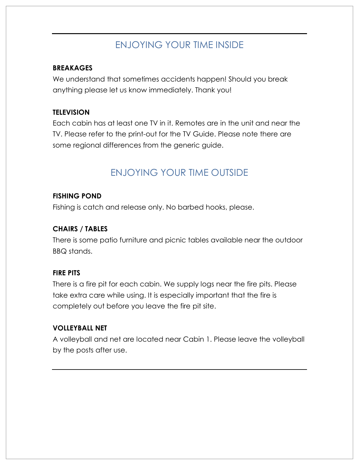### ENJOYING YOUR TIME INSIDE

### **BREAKAGES**

We understand that sometimes accidents happen! Should you break anything please let us know immediately. Thank you!

### **TELEVISION**

Each cabin has at least one TV in it. Remotes are in the unit and near the TV. Please refer to the print-out for the TV Guide. Please note there are some regional differences from the generic guide.

### ENJOYING YOUR TIME OUTSIDE

### **FISHING POND**

Fishing is catch and release only. No barbed hooks, please.

### **CHAIRS / TABLES**

There is some patio furniture and picnic tables available near the outdoor BBQ stands.

### **FIRE PITS**

There is a fire pit for each cabin. We supply logs near the fire pits. Please take extra care while using. It is especially important that the fire is completely out before you leave the fire pit site.

### **VOLLEYBALL NET**

A volleyball and net are located near Cabin 1. Please leave the volleyball by the posts after use.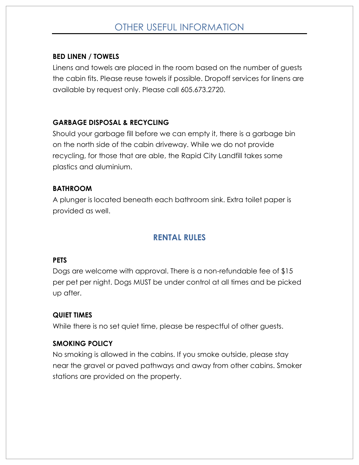### OTHER USEFUL INFORMATION

### **BED LINEN / TOWELS**

Linens and towels are placed in the room based on the number of guests the cabin fits. Please reuse towels if possible. Dropoff services for linens are available by request only. Please call 605.673.2720.

### **GARBAGE DISPOSAL & RECYCLING**

Should your garbage fill before we can empty it, there is a garbage bin on the north side of the cabin driveway. While we do not provide recycling, for those that are able, the Rapid City Landfill takes some plastics and aluminium.

### **BATHROOM**

A plunger is located beneath each bathroom sink. Extra toilet paper is provided as well.

### **RENTAL RULES**

#### **PETS**

Dogs are welcome with approval. There is a non-refundable fee of \$15 per pet per night. Dogs MUST be under control at all times and be picked up after.

### **QUIET TIMES**

While there is no set quiet time, please be respectful of other guests.

### **SMOKING POLICY**

No smoking is allowed in the cabins. If you smoke outside, please stay near the gravel or paved pathways and away from other cabins. Smoker stations are provided on the property.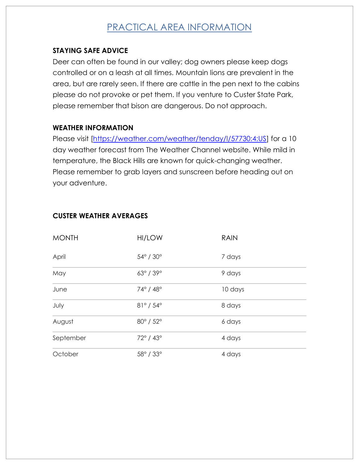### PRACTICAL AREA INFORMATION

### **STAYING SAFE ADVICE**

Deer can often be found in our valley; dog owners please keep dogs controlled or on a leash at all times. Mountain lions are prevalent in the area, but are rarely seen. If there are cattle in the pen next to the cabins please do not provoke or pet them. If you venture to Custer State Park, please remember that bison are dangerous. Do not approach.

### **WEATHER INFORMATION**

Please visit [\[https://weather.com/weather/tenday/l/57730:4:US\]](https://weather.com/weather/tenday/l/57730:4:US) for a 10 day weather forecast from The Weather Channel website. While mild in temperature, the Black Hills are known for quick-changing weather. Please remember to grab layers and sunscreen before heading out on your adventure.

| <b>MONTH</b> | HI/LOW                       | <b>RAIN</b> |
|--------------|------------------------------|-------------|
| April        | $54^{\circ}$ / $30^{\circ}$  | 7 days      |
| May          | $63^{\circ}$ / 39 $^{\circ}$ | 9 days      |
| June         | 74° / 48°                    | 10 days     |
| July         | $81^{\circ}$ / 54 $^{\circ}$ | 8 days      |
| August       | 80° / 52°                    | 6 days      |
| September    | $72^{\circ}$ / $43^{\circ}$  | 4 days      |
| October      | 58° / 33°                    | 4 days      |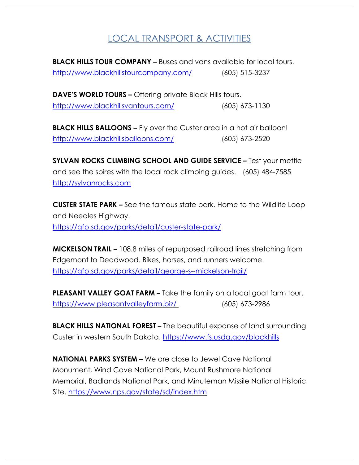### LOCAL TRANSPORT & ACTIVITIES

**BLACK HILLS TOUR COMPANY –** Buses and vans available for local tours. <http://www.blackhillstourcompany.com/>[\(605\) 515-3237](https://www.google.com/search?q=black+hills+tour+company&oq=BLACK+HILLS+TOUR+&aqs=chrome.1.69i57j35i39j69i60j0l3.3920j0j8&sourceid=chrome&ie=UTF-8)

**DAVE'S WORLD TOURS –** Offering private Black Hills tours. <http://www.blackhillsvantours.com/> (605) 673-1130

**BLACK HILLS BALLOONS –** Fly over the Custer area in a hot air balloon! <http://www.blackhillsballoons.com/> [\(605\) 673-2520](https://www.google.com/search?ei=FL-nXJ2HFonUjwSDrqC4CQ&q=black+hills+balloons&oq=BLACK+HILLS+BAL&gs_l=psy-ab.1.0.35i39j0l2j38l2j0i22i30l5.37457.39703..41043...0.0..0.91.1138.15......0....1..gws-wiz.......0i71j0i67j0i131j0i20i263j0i131i67.clow9ICDM_0)

**SYLVAN ROCKS CLIMBING SCHOOL AND GUIDE SERVICE –** Test your mettle and see the spires with the local rock climbing guides. [\(605\) 484-7585](https://www.google.com/search?ei=Pr-nXKWMD6LXjwSujriYCQ&q=sylvan+rocks&oq=sylvan+roccks&gs_l=psy-ab.1.0.35i304i39j0i8i13i30l9.26225.27702..29934...0.0..0.106.1036.12j1......0....1..gws-wiz.......0i71j35i39j0i67j0j0i131j0i20i263j0i13j0i13i30j0i13i5i30.7zjDYKUp_GA) [http://sylvanrocks.com](http://sylvanrocks.com/)

**CUSTER STATE PARK –** See the famous state park. Home to the Wildlife Loop and Needles Highway. <https://gfp.sd.gov/parks/detail/custer-state-park/>

**MICKELSON TRAIL –** 108.8 miles of repurposed railroad lines stretching from Edgemont to Deadwood. Bikes, horses, and runners welcome. <https://gfp.sd.gov/parks/detail/george-s--mickelson-trail/>

**PLEASANT VALLEY GOAT FARM –** Take the family on a local goat farm tour. <https://www.pleasantvalleyfarm.biz/> (605) 673-2986

**BLACK HILLS NATIONAL FOREST –** The beautiful expanse of land surrounding Custer in western South Dakota. <https://www.fs.usda.gov/blackhills>

**NATIONAL PARKS SYSTEM –** We are close to Jewel Cave National Monument, Wind Cave National Park, Mount Rushmore National Memorial, Badlands National Park, and Minuteman Missile National Historic Site. <https://www.nps.gov/state/sd/index.htm>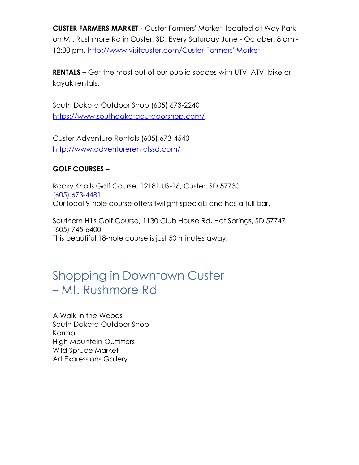**CUSTER FARMERS MARKET -** Custer Farmers' Market, located at Way Park on Mt. Rushmore Rd in Custer, SD. Every Saturday June - October, 8 am - 12:30 pm. [http://www.visitcuster.com/Custer-Farmers'-Market](http://www.visitcuster.com/Custer-Farmers)

**RENTALS –** Get the most out of our public spaces with UTV, ATV, bike or kayak rentals.

South Dakota Outdoor Shop (605) 673-2240 <https://www.southdakotaoutdoorshop.com/>

Custer Adventure Rentals (605) 673-4540 <http://www.adventurerentalssd.com/>

### **GOLF COURSES –**

Rocky Knolls Golf Course, 12181 US-16, Custer, SD 57730 [\(605\) 673-4481](https://www.google.com/search?q=rocky+knolls+golf+course&oq=rockyknolls+gold&aqs=chrome.1.69i57j0l3.5714j0j8&sourceid=chrome&ie=UTF-8) Our local 9-hole course offers twilight specials and has a full bar.

Southern Hills Golf Course, 1130 Club House Rd, Hot Springs, SD 57747 (605) 745-6400 This beautiful 18-hole course is just 50 minutes away.

### Shopping in Downtown Custer – Mt. Rushmore Rd

A Walk in the Woods South Dakota Outdoor Shop Karma High Mountain Outfitters Wild Spruce Market Art Expressions Gallery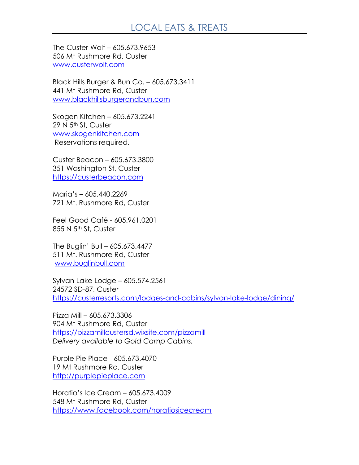### LOCAL EATS & TREATS

The Custer Wolf – 605.673.9653 506 Mt Rushmore Rd, Custer [www.custerwolf.com](http://www.custerwolf.com/)

Black Hills Burger & Bun Co. – 605.673.3411 441 Mt Rushmore Rd, Custer [www.blackhillsburgerandbun.com](http://www.blackhillsburgerandbun.com/)

Skogen Kitchen – 605.673.2241 29 N 5<sup>th</sup> St, Custer [www.skogenkitchen.com](http://www.skogenkitchen.com/) Reservations required.

Custer Beacon – 605.673.3800 351 Washington St, Custer [https://custerbeacon.com](https://custerbeacon.com/)

Maria's – 605.440.2269 721 Mt. Rushmore Rd, Custer

Feel Good Café - 605.961.0201 855 N 5<sup>th</sup> St, Custer

The Buglin' Bull – 605.673.4477 511 Mt. Rushmore Rd, Custer [www.buglinbull.com](http://www.buglinbull.com/)

Sylvan Lake Lodge – 605.574.2561 24572 SD-87, Custer <https://custerresorts.com/lodges-and-cabins/sylvan-lake-lodge/dining/>

Pizza Mill – [605.673.3306](https://www.google.com/search?tbm=lcl&ei=P22eXOL5C4yJ-gTivLfwCg&q=pizza+mill&oq=pizza&gs_l=psy-ab.3.0.35i39k1j0i67k1j0j0i67k1l2j0l5.111303.111917.0.113738.5.5.0.0.0.0.130.471.0j4.4.0....0...1c.1.64.psy-ab..1.4.470...0i131k1.0.aaBf65sPL5c) 904 Mt Rushmore Rd, Custer <https://pizzamillcustersd.wixsite.com/pizzamill> *Delivery available to Gold Camp Cabins.*

Purple Pie Place - 605.673.4070 19 Mt Rushmore Rd, Custer [http://purplepieplace.com](http://purplepieplace.com/)

Horatio's Ice Cream – 605.673.4009 548 Mt Rushmore Rd, Custer <https://www.facebook.com/horatiosicecream>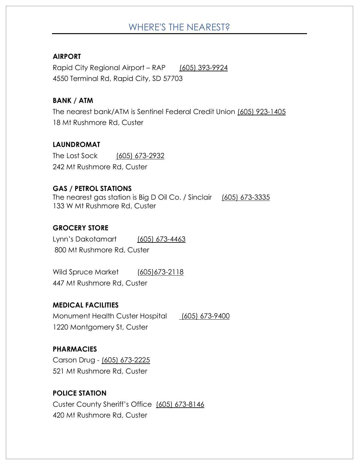### WHERE'S THE NEAREST?

### **AIRPORT**

Rapid City Regional Airport – RAP [\(605\) 393-9924](https://www.google.com/search?ei=PTudXPXDNZPojgSE0a64DA&q=rapid+city+airport&oq=rapid+city+air&gs_l=psy-ab.1.0.0j0i20i263j0l3j0i20i263j0l4.52463.54676..55948...0.0..0.79.894.14......0....1..gws-wiz.......0i71j35i39j0i67j0i131j0i131i67.XSWDIxPTKyU) 4550 Terminal Rd, Rapid City, SD 57703

### **BANK / ATM**

The nearest bank/ATM is Sentinel Federal Credit Union (605) 923-1405 18 Mt Rushmore Rd, Custer

#### **LAUNDROMAT**

The Lost Sock [\(605\) 673-2932](https://www.google.com/search?q=ltv+LAUNDRY+CUSTER+SD&oq=ltv+LAUNDRY+CUSTER+SD&aqs=chrome..69i57.5599j0j8&sourceid=chrome&ie=UTF-8) 242 Mt Rushmore Rd, Custer

#### **GAS / PETROL STATIONS**

The nearest gas station is Big D Oil Co. / Sinclair (605) 673-3335 133 W Mt Rushmore Rd, Custer

#### **GROCERY STORE**

Lynn's Dakotamart [\(605\) 673-4463](https://www.google.com/search?q=lynns+dakota+mart+custer+sd&oq=lynns+&aqs=chrome.2.69i57j0l5.3492j0j7&sourceid=chrome&ie=UTF-8) 800 Mt Rushmore Rd, Custer

Wild Spruce Market (605)673-2118 447 Mt Rushmore Rd, Custer

### **MEDICAL FACILITIES**

Monument Health Custer Hospital (605) 673-9400 1220 Montgomery St, Custer

### **PHARMACIES**

Carson Drug - [\(605\) 673-2225](https://www.google.com/search?hl=en&authuser=0&ei=ejudXLHTEouNr7wP2-KM2A8&q=carson+drug+custer&oq=carson+&gs_l=psy-ab.1.0.35i39j0i67j0j0i67l2j0l5.80204.81919..82960...1.0..0.99.632.8......0....1..gws-wiz.......0i71j0i131j0i20i263.zIene1C8wBY) 521 Mt Rushmore Rd, Custer

### **POLICE STATION**

Custer County Sheriff's Office [\(605\) 673-8146](https://www.google.com/search?ei=5DudXPH4I4nOjwSX8Jb4Bg&q=custer+co+sheriff&oq=custer+&gs_l=psy-ab.1.1.35i39l2j0l2j0i20i263j0j0i67j0l3.4336.5062..6970...0.0..0.79.469.7......0....1..gws-wiz.......0i71j0i131j0i131i67.zsTW909h2a4) 420 Mt Rushmore Rd, Custer